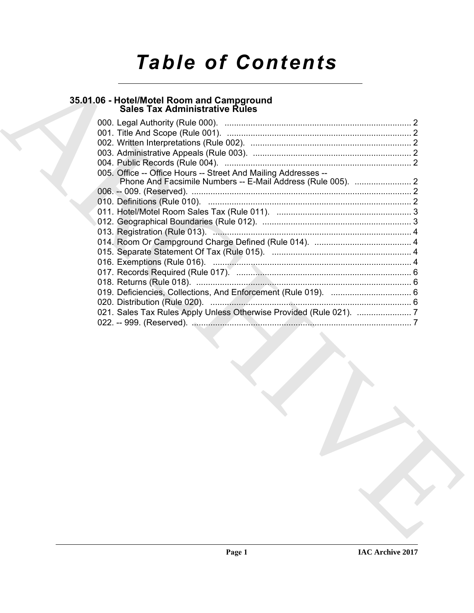# *Table of Contents*

# **35.01.06 - Hotel/Motel Room and Campground Sales Tax Administrative Rules**

| Sales Tax Administrative Rules                                 |  |
|----------------------------------------------------------------|--|
|                                                                |  |
|                                                                |  |
|                                                                |  |
|                                                                |  |
|                                                                |  |
| 005. Office -- Office Hours -- Street And Mailing Addresses -- |  |
|                                                                |  |
|                                                                |  |
|                                                                |  |
|                                                                |  |
|                                                                |  |
|                                                                |  |
|                                                                |  |
|                                                                |  |
|                                                                |  |
|                                                                |  |
|                                                                |  |
|                                                                |  |
|                                                                |  |
|                                                                |  |
|                                                                |  |
|                                                                |  |
|                                                                |  |
|                                                                |  |
|                                                                |  |
|                                                                |  |
|                                                                |  |
|                                                                |  |
|                                                                |  |
|                                                                |  |
|                                                                |  |
|                                                                |  |
|                                                                |  |
|                                                                |  |
|                                                                |  |
|                                                                |  |
|                                                                |  |
|                                                                |  |
|                                                                |  |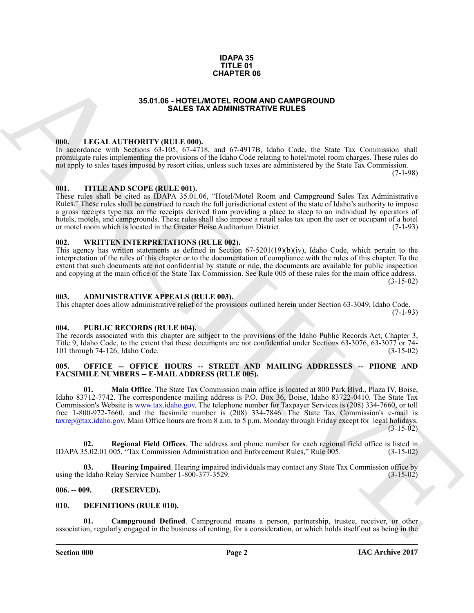### **IDAPA 35 TITLE 01 CHAPTER 06**

## **35.01.06 - HOTEL/MOTEL ROOM AND CAMPGROUND SALES TAX ADMINISTRATIVE RULES**

## <span id="page-1-1"></span><span id="page-1-0"></span>**000. LEGAL AUTHORITY (RULE 000).**

In accordance with Sections 63-105, 67-4718, and 67-4917B, Idaho Code, the State Tax Commission shall promulgate rules implementing the provisions of the Idaho Code relating to hotel/motel room charges. These rules do not apply to sales taxes imposed by resort cities, unless such taxes are administered by the State Tax Commission.

(7-1-98)

# <span id="page-1-2"></span>**001. TITLE AND SCOPE (RULE 001).**

These rules shall be cited as IDAPA 35.01.06, "Hotel/Motel Room and Campground Sales Tax Administrative Rules." These rules shall be construed to reach the full jurisdictional extent of the state of Idaho's authority to impose a gross receipts type tax on the receipts derived from providing a place to sleep to an individual by operators of hotels, motels, and campgrounds. These rules shall also impose a retail sales tax upon the user or occupant of a hotel<br>or motel room which is located in the Greater Boise Auditorium District. (7-1-93) or motel room which is located in the Greater Boise Auditorium District.

# <span id="page-1-3"></span>**002. WRITTEN INTERPRETATIONS (RULE 002).**

This agency has written statements as defined in Section 67-5201(19)(b)(iv), Idaho Code, which pertain to the interpretation of the rules of this chapter or to the documentation of compliance with the rules of this chapter. To the extent that such documents are not confidential by statute or rule, the documents are available for public inspection and copying at the main office of the State Tax Commission. See Rule 005 of these rules for the main office address. (3-15-02)

### <span id="page-1-4"></span>**003. ADMINISTRATIVE APPEALS (RULE 003).**

This chapter does allow administrative relief of the provisions outlined herein under Section 63-3049, Idaho Code.  $(7-1-93)$ 

### <span id="page-1-5"></span>**004. PUBLIC RECORDS (RULE 004).**

The records associated with this chapter are subject to the provisions of the Idaho Public Records Act, Chapter 3, Title 9, Idaho Code, to the extent that these documents are not confidential under Sections 63-3076, 63-3077 or 74- 101 through 74-126, Idaho Code. (3-15-02)

### <span id="page-1-6"></span>**005. OFFICE -- OFFICE HOURS -- STREET AND MAILING ADDRESSES -- PHONE AND FACSIMILE NUMBERS -- E-MAIL ADDRESS (RULE 005).**

**35.01.06 - HOTEL III (NATIEN ISLAM PER OF MAND CAMPER ON DETAIL ASSEMATION COMPARENT ISLAM CONTINUES (1998)**<br>
ARCHIVES CONTINUES (1998) - AND CONTINUES (1998) - AND CONTINUES (1998) - AND CONTINUES (1998) - AND CONTINUES **01. Main Office**. The State Tax Commission main office is located at 800 Park Blvd., Plaza IV, Boise, Idaho 83712-7742. The correspondence mailing address is P.O. Box 36, Boise, Idaho 83722-0410. The State Tax Commission's Website is www.tax.idaho.gov. The telephone number for Taxpayer Services is (208) 334-7660, or toll free 1-800-972-7660, and the facsimile number is (208) 334-7846. The State Tax Commission's e-mail is  $\frac{\text{taxrep}}{\text{data}}$ , idaho.gov. Main Office hours are from 8 a.m. to 5 p.m. Monday through Friday except for legal holidays.  $(3-15-02)$ 

**02.** Regional Field Offices. The address and phone number for each regional field office is listed in 5.02.01.005, "Tax Commission Administration and Enforcement Rules," Rule 005. (3-15-02) IDAPA 35.02.01.005, "Tax Commission Administration and Enforcement Rules," Rule 005.

**03. Hearing Impaired**. Hearing impaired individuals may contact any State Tax Commission office by <br>15-02): (3-15-02) (3-15-02) using the Idaho Relay Service Number 1-800-377-3529.

### <span id="page-1-7"></span>**006. -- 009. (RESERVED).**

### <span id="page-1-9"></span><span id="page-1-8"></span>**010. DEFINITIONS (RULE 010).**

<span id="page-1-10"></span>**Campground Defined.** Campground means a person, partnership, trustee, receiver, or other association, regularly engaged in the business of renting, for a consideration, or which holds itself out as being in the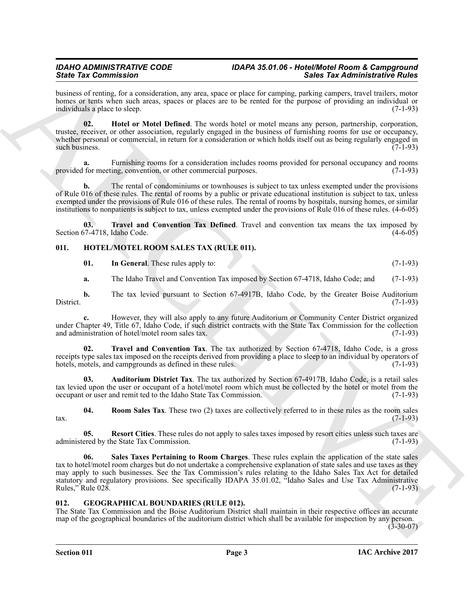business of renting, for a consideration, any area, space or place for camping, parking campers, travel trailers, motor homes or tents when such areas, spaces or places are to be rented for the purpose of providing an individual or individuals a place to sleep. (7-1-93)

<span id="page-2-2"></span>**02. Hotel or Motel Defined**. The words hotel or motel means any person, partnership, corporation, trustee, receiver, or other association, regularly engaged in the business of furnishing rooms for use or occupancy, whether personal or commercial, in return for a consideration or which holds itself out as being regularly engaged in such business.  $(7-1-93)$ 

**a.** Furnishing rooms for a consideration includes rooms provided for personal occupancy and rooms provided for meeting, convention, or other commercial purposes. (7-1-93)

**b.** The rental of condominiums or townhouses is subject to tax unless exempted under the provisions of Rule 016 of these rules. The rental of rooms by a public or private educational institution is subject to tax, unless exempted under the provisions of Rule 016 of these rules. The rental of rooms by hospitals, nursing homes, or similar institutions to nonpatients is subject to tax, unless exempted under the provisions of Rule 016 of these rules. (4-6-05)

**03. Travel and Convention Tax Defined**. Travel and convention tax means the tax imposed by Section 67-4718, Idaho Code. (4-6-05)

# <span id="page-2-0"></span>**011. HOTEL/MOTEL ROOM SALES TAX (RULE 011).**

<span id="page-2-7"></span><span id="page-2-5"></span><span id="page-2-3"></span>

| 01. | In General. These rules apply to: | $(7-1-93)$ |
|-----|-----------------------------------|------------|
|     |                                   |            |

**a.** The Idaho Travel and Convention Tax imposed by Section 67-4718, Idaho Code; and (7-1-93)

**b.** The tax levied pursuant to Section 67-4917B, Idaho Code, by the Greater Boise Auditorium (7-1-93) District. (7-1-93)

**c.** However, they will also apply to any future Auditorium or Community Center District organized under Chapter 49, Title 67, Idaho Code, if such district contracts with the State Tax Commission for the collection and administration of hotel/motel room sales tax. (7-1-93) and administration of hotel/motel room sales tax.

<span id="page-2-11"></span>**02. Travel and Convention Tax**. The tax authorized by Section 67-4718, Idaho Code, is a gross receipts type sales tax imposed on the receipts derived from providing a place to sleep to an individual by operators of hotels, motels, and camparounds as defined in these rules. (7-1-93) hotels, motels, and campgrounds as defined in these rules.

<span id="page-2-6"></span>**03. Auditorium District Tax**. The tax authorized by Section 67-4917B, Idaho Code, is a retail sales tax levied upon the user or occupant of a hotel/motel room which must be collected by the hotel or motel from the occupant or user and remit ted to the Idaho State Tax Commission. (7-1-93) occupant or user and remit ted to the Idaho State Tax Commission.

<span id="page-2-9"></span>**04. Room Sales Tax**. These two (2) taxes are collectively referred to in these rules as the room sales  $\frac{1}{2}$  tax.  $\frac{(7-1-93)}{2}$ 

<span id="page-2-10"></span><span id="page-2-8"></span>**05. Resort Cities**. These rules do not apply to sales taxes imposed by resort cities unless such taxes are ered by the State Tax Commission. (7-1-93) administered by the State Tax Commission.

Since Tax Commutes in the state state and space to place the state and the state Tax Administrative River Commutes in the state of the state of the state of the state of the state of the state of the state of the state of **06. Sales Taxes Pertaining to Room Charges**. These rules explain the application of the state sales tax to hotel/motel room charges but do not undertake a comprehensive explanation of state sales and use taxes as they may apply to such businesses. See the Tax Commission's rules relating to the Idaho Sales Tax Act for detailed statutory and regulatory provisions. See specifically IDAPA 35.01.02, "Idaho Sales and Use Tax Administrative Rules," Rule 028. (7-1-93)

# <span id="page-2-4"></span><span id="page-2-1"></span>**012. GEOGRAPHICAL BOUNDARIES (RULE 012).**

The State Tax Commission and the Boise Auditorium District shall maintain in their respective offices an accurate map of the geographical boundaries of the auditorium district which shall be available for inspection by any person.

 $(3-30-07)$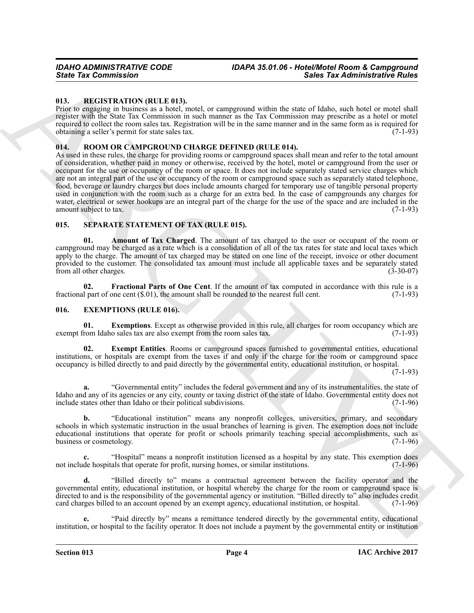## <span id="page-3-7"></span><span id="page-3-0"></span>**013. REGISTRATION (RULE 013).**

Prior to engaging in business as a hotel, motel, or campground within the state of Idaho, such hotel or motel shall register with the State Tax Commission in such manner as the Tax Commission may prescribe as a hotel or motel required to collect the room sales tax. Registration will be in the same manner and in the same form as is required for obtaining a seller's permit for state sales tax. (7-1-93)

# <span id="page-3-8"></span><span id="page-3-1"></span>**014. ROOM OR CAMPGROUND CHARGE DEFINED (RULE 014).**

Since Tax Commission<br>
13. Blocks Tax Administrative Sixter.<br>
13. Blocks Tax Administrative Sixter.<br>
13. Blocks Tax Administrative Sixter.<br>
14. Blocks Tax Administrative Sixter.<br>
14. Blocks Tax Administrative Sixter.<br>
24. As used in these rules, the charge for providing rooms or campground spaces shall mean and refer to the total amount of consideration, whether paid in money or otherwise, received by the hotel, motel or campground from the user or occupant for the use or occupancy of the room or space. It does not include separately stated service charges which are not an integral part of the use or occupancy of the room or campground space such as separately stated telephone, food, beverage or laundry charges but does include amounts charged for temporary use of tangible personal property used in conjunction with the room such as a charge for an extra bed. In the case of campgrounds any charges for water, electrical or sewer hookups are an integral part of the charge for the use of the space and are included in the amount subject to tax. (7-1-93) amount subject to tax.

# <span id="page-3-9"></span><span id="page-3-2"></span>**015. SEPARATE STATEMENT OF TAX (RULE 015).**

<span id="page-3-10"></span>**01. Amount of Tax Charged**. The amount of tax charged to the user or occupant of the room or campground may be charged as a rate which is a consolidation of all of the tax rates for state and local taxes which apply to the charge. The amount of tax charged may be stated on one line of the receipt, invoice or other document provided to the customer. The consolidated tax amount must include all applicable taxes and be separately stated from all other charges. (3-30-07) from all other charges.

<span id="page-3-11"></span>**02. Fractional Parts of One Cent**. If the amount of tax computed in accordance with this rule is a 1 part of one cent (\$.01), the amount shall be rounded to the nearest full cent. (7-1-93) fractional part of one cent  $(\$.01)$ , the amount shall be rounded to the nearest full cent.

### <span id="page-3-4"></span><span id="page-3-3"></span>**016. EXEMPTIONS (RULE 016).**

<span id="page-3-6"></span>**01. Exemptions**. Except as otherwise provided in this rule, all charges for room occupancy which are room Idaho sales tax are also exempt from the room sales tax. (7-1-93) exempt from Idaho sales tax are also exempt from the room sales tax.

<span id="page-3-5"></span>**02. Exempt Entities**. Rooms or campground spaces furnished to governmental entities, educational institutions, or hospitals are exempt from the taxes if and only if the charge for the room or campground space occupancy is billed directly to and paid directly by the governmental entity, educational institution, or hospital.

(7-1-93)

**a.** "Governmental entity" includes the federal government and any of its instrumentalities, the state of Idaho and any of its agencies or any city, county or taxing district of the state of Idaho. Governmental entity does not include states other than Idaho or their political subdivisions.

**b.** "Educational institution" means any nonprofit colleges, universities, primary, and secondary schools in which systematic instruction in the usual branches of learning is given. The exemption does not include educational institutions that operate for profit or schools primarily teaching special accomplishments, such as business or cosmetology. (7-1-96) business or cosmetology.

**c.** "Hospital" means a nonprofit institution licensed as a hospital by any state. This exemption does not include hospitals that operate for profit, nursing homes, or similar institutions.

**d.** "Billed directly to" means a contractual agreement between the facility operator and the governmental entity, educational institution, or hospital whereby the charge for the room or campground space is directed to and is the responsibility of the governmental agency or institution. "Billed directly to" also includes credit card charges billed to an account opened by an exempt agency, educational institution, or hospital. (7-1-96)

**e.** "Paid directly by" means a remittance tendered directly by the governmental entity, educational institution, or hospital to the facility operator. It does not include a payment by the governmental entity or institution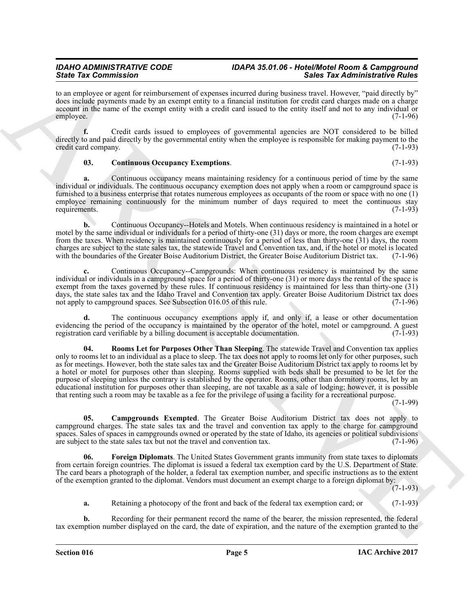to an employee or agent for reimbursement of expenses incurred during business travel. However, "paid directly by" does include payments made by an exempt entity to a financial institution for credit card charges made on a charge account in the name of the exempt entity with a credit card issued to the entity itself and not to any individual or employee. (7-1-96)

**f.** Credit cards issued to employees of governmental agencies are NOT considered to be billed directly to and paid directly by the governmental entity when the employee is responsible for making payment to the credit card company. (7-1-93)

### <span id="page-4-1"></span>**03. Continuous Occupancy Exemptions**. (7-1-93)

**a.** Continuous occupancy means maintaining residency for a continuous period of time by the same individual or individuals. The continuous occupancy exemption does not apply when a room or campground space is furnished to a business enterprise that rotates numerous employees as occupants of the room or space with no one (1) employee remaining continuously for the minimum number of days required to meet the continuous stay requirements. (7-1-93)

**b.** Continuous Occupancy--Hotels and Motels. When continuous residency is maintained in a hotel or motel by the same individual or individuals for a period of thirty-one (31) days or more, the room charges are exempt from the taxes. When residency is maintained continuously for a period of less than thirty-one (31) days, the room charges are subject to the state sales tax, the statewide Travel and Convention tax, and, if the hotel or motel is located with the boundaries of the Greater Boise Auditorium District, the Greater Boise Auditorium District tax.

**c.** Continuous Occupancy--Campgrounds: When continuous residency is maintained by the same individual or individuals in a campground space for a period of thirty-one (31) or more days the rental of the space is exempt from the taxes governed by these rules. If continuous residency is maintained for less than thirty-one (31) days, the state sales tax and the Idaho Travel and Convention tax apply. Greater Boise Auditorium District tax does not apply to campground spaces. See Subsection 016.05 of this rule. (7-1-96) not apply to campground spaces. See Subsection 016.05 of this rule.

<span id="page-4-3"></span>**d.** The continuous occupancy exemptions apply if, and only if, a lease or other documentation evidencing the period of the occupancy is maintained by the operator of the hotel, motel or campground. A guest registration card verifiable by a billing document is acceptable documentation. (7-1-93) registration card verifiable by a billing document is acceptable documentation.

Since Tax Commission in the constraints of the process constraints and the Tax Administrative Euler Commission and the constraint of the constraint of the constraint of the constraint of the constraint of the constraint o **04. Rooms Let for Purposes Other Than Sleeping**. The statewide Travel and Convention tax applies only to rooms let to an individual as a place to sleep. The tax does not apply to rooms let only for other purposes, such as for meetings. However, both the state sales tax and the Greater Boise Auditorium District tax apply to rooms let by a hotel or motel for purposes other than sleeping. Rooms supplied with beds shall be presumed to be let for the purpose of sleeping unless the contrary is established by the operator. Rooms, other than dormitory rooms, let by an educational institution for purposes other than sleeping, are not taxable as a sale of lodging; however, it is possible that renting such a room may be taxable as a fee for the privilege of using a facility for a recreational purpose.

(7-1-99)

<span id="page-4-0"></span>**05. Campgrounds Exempted**. The Greater Boise Auditorium District tax does not apply to campground charges. The state sales tax and the travel and convention tax apply to the charge for campground spaces. Sales of spaces in campgrounds owned or operated by the state of Idaho, its agencies or political subdivisions are subject to the state sales tax but not the travel and convention tax. (7-1-96) are subject to the state sales tax but not the travel and convention tax.

<span id="page-4-2"></span>**06. Foreign Diplomats**. The United States Government grants immunity from state taxes to diplomats from certain foreign countries. The diplomat is issued a federal tax exemption card by the U.S. Department of State. The card bears a photograph of the holder, a federal tax exemption number, and specific instructions as to the extent of the exemption granted to the diplomat. Vendors must document an exempt charge to a foreign diplomat by:

(7-1-93)

**a.** Retaining a photocopy of the front and back of the federal tax exemption card; or (7-1-93)

**b.** Recording for their permanent record the name of the bearer, the mission represented, the federal tax exemption number displayed on the card, the date of expiration, and the nature of the exemption granted to the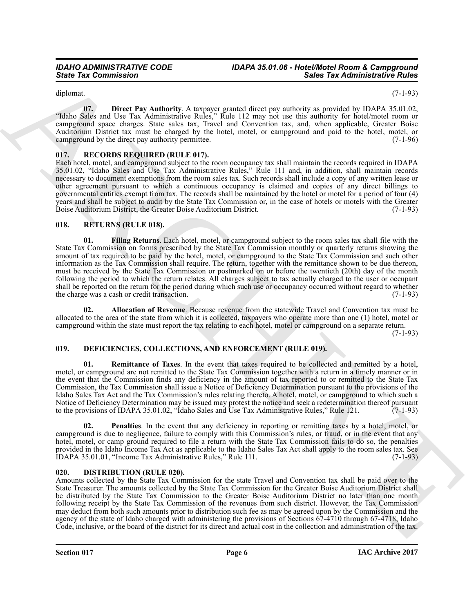<span id="page-5-8"></span>diplomat. (7-1-93)

**07. Direct Pay Authority**. A taxpayer granted direct pay authority as provided by IDAPA 35.01.02, "Idaho Sales and Use Tax Administrative Rules," Rule 112 may not use this authority for hotel/motel room or campground space charges. State sales tax, Travel and Convention tax, and, when applicable, Greater Boise Auditorium District tax must be charged by the hotel, motel, or campground and paid to the hotel, motel, or campground by the direct pay authority permittee. campground by the direct pay authority permittee.

# <span id="page-5-9"></span><span id="page-5-0"></span>**017. RECORDS REQUIRED (RULE 017).**

Each hotel, motel, and campground subject to the room occupancy tax shall maintain the records required in IDAPA 35.01.02, "Idaho Sales and Use Tax Administrative Rules," Rule 111 and, in addition, shall maintain records necessary to document exemptions from the room sales tax. Such records shall include a copy of any written lease or other agreement pursuant to which a continuous occupancy is claimed and copies of any direct billings to governmental entities exempt from tax. The records shall be maintained by the hotel or motel for a period of four (4) years and shall be subject to audit by the State Tax Commission or, in the case of hotels or motels with the Greater Boise Auditorium District. (7-1-93) Boise Auditorium District, the Greater Boise Auditorium District.

# <span id="page-5-12"></span><span id="page-5-10"></span><span id="page-5-1"></span>**018. RETURNS (RULE 018).**

Since Tax Commission<br>
Since Tax Commission<br>
Since Tax Administrative Since Tax Administrative Since Tax Administrative Since Tax Administrative Since Tax Administrative Since Tax Administrative Since Tax Administrative Co **01. Filing Returns**. Each hotel, motel, or campground subject to the room sales tax shall file with the State Tax Commission on forms prescribed by the State Tax Commission monthly or quarterly returns showing the amount of tax required to be paid by the hotel, motel, or campground to the State Tax Commission and such other information as the Tax Commission shall require. The return, together with the remittance shown to be due thereon, must be received by the State Tax Commission or postmarked on or before the twentieth (20th) day of the month following the period to which the return relates. All charges subject to tax actually charged to the user or occupant shall be reported on the return for the period during which such use or occupancy occurred without regard to whether<br>the charge was a cash or credit transaction. (7-1-93) the charge was a cash or credit transaction.

<span id="page-5-11"></span>**02. Allocation of Revenue**. Because revenue from the statewide Travel and Convention tax must be allocated to the area of the state from which it is collected, taxpayers who operate more than one (1) hotel, motel or campground within the state must report the tax relating to each hotel, motel or campground on a separate return.

(7-1-93)

# <span id="page-5-4"></span><span id="page-5-2"></span>**019. DEFICIENCIES, COLLECTIONS, AND ENFORCEMENT (RULE 019).**

<span id="page-5-6"></span>**01. Remittance of Taxes**. In the event that taxes required to be collected and remitted by a hotel, motel, or campground are not remitted to the State Tax Commission together with a return in a timely manner or in the event that the Commission finds any deficiency in the amount of tax reported to or remitted to the State Tax Commission, the Tax Commission shall issue a Notice of Deficiency Determination pursuant to the provisions of the Idaho Sales Tax Act and the Tax Commission's rules relating thereto. A hotel, motel, or campground to which such a Notice of Deficiency Determination may be issued may protest the notice and seek a redetermination thereof pursuant to the provisions of IDAPA 35.01.02, "Idaho Sales and Use Tax Administrative Rules," Rule 121. (7-1-93)

<span id="page-5-5"></span>**02. Penalties**. In the event that any deficiency in reporting or remitting taxes by a hotel, motel, or campground is due to negligence, failure to comply with this Commission's rules, or fraud, or in the event that any hotel, motel, or camp ground required to file a return with the State Tax Commission fails to do so, the penalties provided in the Idaho Income Tax Act as applicable to the Idaho Sales Tax Act shall apply to the room sales tax. See IDAPA 35.01.01, "Income Tax Administrative Rules," Rule 111. (7-1-93)

# <span id="page-5-7"></span><span id="page-5-3"></span>**020. DISTRIBUTION (RULE 020).**

Amounts collected by the State Tax Commission for the state Travel and Convention tax shall be paid over to the State Treasurer. The amounts collected by the State Tax Commission for the Greater Boise Auditorium District shall be distributed by the State Tax Commission to the Greater Boise Auditorium District no later than one month following receipt by the State Tax Commission of the revenues from such district. However, the Tax Commission may deduct from both such amounts prior to distribution such fee as may be agreed upon by the Commission and the agency of the state of Idaho charged with administering the provisions of Sections 67-4710 through 67-4718, Idaho Code, inclusive, or the board of the district for its direct and actual cost in the collection and administration of the tax.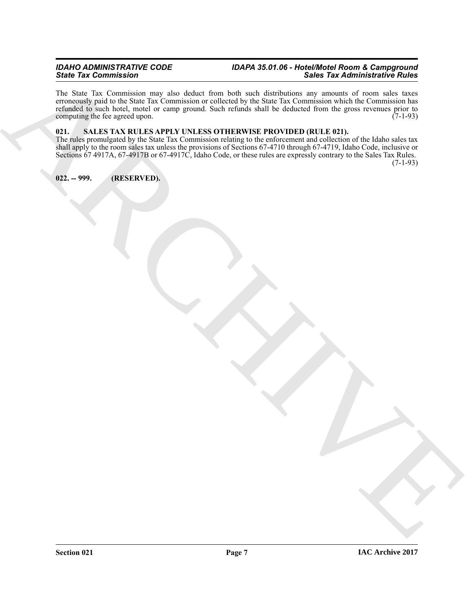Since You can compute the second with the second with the second with the second with  $\frac{1}{2}$  and  $\frac{1}{2}$  and  $\frac{1}{2}$  and  $\frac{1}{2}$  and  $\frac{1}{2}$  and  $\frac{1}{2}$  and  $\frac{1}{2}$  and  $\frac{1}{2}$  and  $\frac{1}{2}$  and  $\frac{1}{2}$ The State Tax Commission may also deduct from both such distributions any amounts of room sales taxes erroneously paid to the State Tax Commission or collected by the State Tax Commission which the Commission has refunded to such hotel, motel or camp ground. Such refunds shall be deducted from the gross revenues prior to computing the fee agreed upon. (7-1-93) computing the fee agreed upon.

# <span id="page-6-2"></span><span id="page-6-0"></span>**021. SALES TAX RULES APPLY UNLESS OTHERWISE PROVIDED (RULE 021).**

The rules promulgated by the State Tax Commission relating to the enforcement and collection of the Idaho sales tax shall apply to the room sales tax unless the provisions of Sections 67-4710 through 67-4719, Idaho Code, inclusive or Sections 67 4917A, 67-4917B or 67-4917C, Idaho Code, or these rules are expressly contrary to the Sales Tax Rules. (7-1-93)

<span id="page-6-1"></span>**022. -- 999. (RESERVED).**